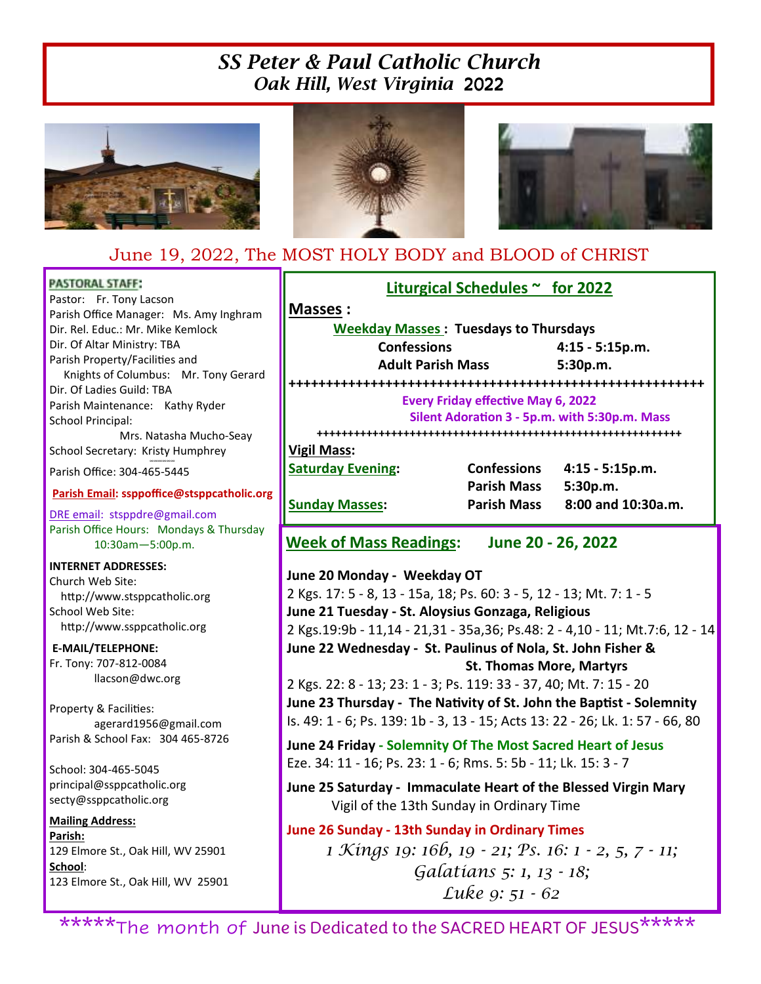# *SS Peter & Paul Catholic Church Oak Hill, West Virginia* 2022







## June 19, 2022, The MOST HOLY BODY and BLOOD of CHRIST

### **PASTORAL STAFF:**

Pastor: Fr. Tony Lacson Parish Office Manager: Ms. Amy Inghram Dir. Rel. Educ.: Mr. Mike Kemlock Dir. Of Altar Ministry: TBA Parish Property/Facilities and Knights of Columbus: Mr. Tony Gerard Dir. Of Ladies Guild: TBA Parish Maintenance: Kathy Ryder School Principal: Mrs. Natasha Mucho-Seay

School Secretary: Kristy Humphrey ∞∞∞∞∞∞

Parish Office: 304-465-5445

## **Parish Email: ssppoffice@stsppcatholic.org**

DRE email: stsppdre@gmail.com Parish Office Hours: Mondays & Thursday 10:30am—5:00p.m.

#### **INTERNET ADDRESSES:**

Church Web Site: http://www.stsppcatholic.org School Web Site: http://www.ssppcatholic.org

**E-MAIL/TELEPHONE:**  Fr. Tony: 707-812-0084 llacson@dwc.org

Property & Facilities: agerard1956@gmail.com Parish & School Fax: 304 465-8726

School: 304-465-5045 principal@ssppcatholic.org secty@ssppcatholic.org

## **Mailing Address:**

**Parish:**  129 Elmore St., Oak Hill, WV 25901 **School**: 123 Elmore St., Oak Hill, WV 25901

**Liturgical Schedules ~ for 2022 Masses : Weekday Masses : Tuesdays to Thursdays Confessions 4:15 - 5:15p.m.** 

 **Adult Parish Mass 5:30p.m.** 

**++++++++++++++++++++++++++++++++++++++++++++++++++++++++** 

#### **Every Friday effective May 6, 2022** Silent Adoration 3 - 5p.m. with 5:30p.m. Mass

**+++++++++++++++++++++++++++++++++++++++++++++++++++++++++++** 

## **Vigil Mass:**

**Saturday Evening: Confessions 4:15 - 5:15p.m. Parish Mass 5:30p.m. Sunday Masses: Parish Mass 8:00 and 10:30a.m.** 

**Week of Mass Readings: June 20 - 26, 2022** 

**June 20 Monday - Weekday OT**  2 Kgs. 17: 5 - 8, 13 - 15a, 18; Ps. 60: 3 - 5, 12 - 13; Mt. 7: 1 - 5 **June 21 Tuesday - St. Aloysius Gonzaga, Religious**  2 Kgs.19:9b - 11,14 - 21,31 - 35a,36; Ps.48: 2 - 4,10 - 11; Mt.7:6, 12 - 14 **June 22 Wednesday - St. Paulinus of Nola, St. John Fisher & St. Thomas More, Martyrs**  2 Kgs. 22: 8 - 13; 23: 1 - 3; Ps. 119: 33 - 37, 40; Mt. 7: 15 - 20 **June 23 Thursday - The Nativity of St. John the Baptist - Solemnity** Is. 49: 1 - 6; Ps. 139: 1b - 3, 13 - 15; Acts 13: 22 - 26; Lk. 1: 57 - 66, 80

**June 24 Friday - Solemnity Of The Most Sacred Heart of Jesus**  Eze. 34: 11 - 16; Ps. 23: 1 - 6; Rms. 5: 5b - 11; Lk. 15: 3 - 7

**June 25 Saturday - Immaculate Heart of the Blessed Virgin Mary** Vigil of the 13th Sunday in Ordinary Time

## **June 26 Sunday - 13th Sunday in Ordinary Times**

1 Kings 19: 16b, 19 - 21; Ps. 16: 1 - 2, 5, 7 - 11; Galatians 5: 1, 13 - 18; Luke 9: 51 - 62

\*\*\*\*\*The month of June is Dedicated to the SACRED HEART OF JESUS\*\*\*\*\*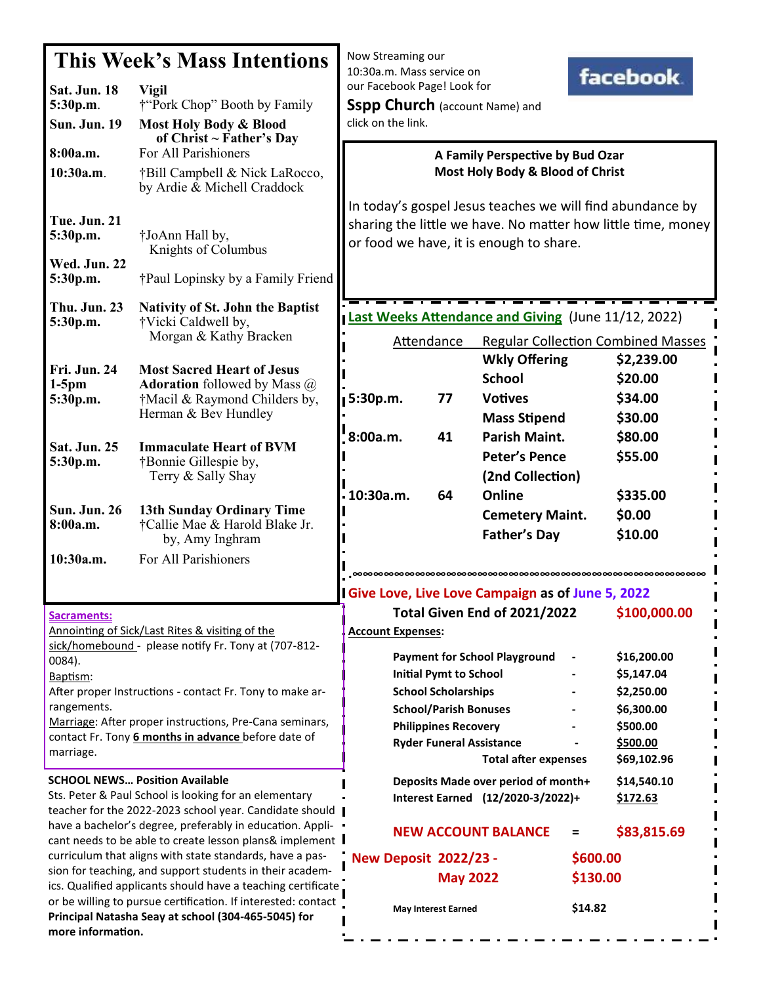| This Week's Mass Intentions                                                                                                                                                                                                                                           |                                                                                                                                   | Now Streaming our<br>10:30a.m. Mass service on<br><b>facebook</b>                                                                                                    |                                                                                |                                                                   |  |
|-----------------------------------------------------------------------------------------------------------------------------------------------------------------------------------------------------------------------------------------------------------------------|-----------------------------------------------------------------------------------------------------------------------------------|----------------------------------------------------------------------------------------------------------------------------------------------------------------------|--------------------------------------------------------------------------------|-------------------------------------------------------------------|--|
| Sat. Jun. 18<br>5:30p.m.<br><b>Sun. Jun. 19</b>                                                                                                                                                                                                                       | <b>Vigil</b><br>†"Pork Chop" Booth by Family<br>Most Holy Body & Blood                                                            | our Facebook Page! Look for<br><b>Sspp Church</b> (account Name) and<br>click on the link.                                                                           |                                                                                |                                                                   |  |
| 8:00a.m.<br>10:30a.m.                                                                                                                                                                                                                                                 | of Christ $\sim$ Father's Day<br>For All Parishioners<br>†Bill Campbell & Nick LaRocco,<br>by Ardie & Michell Craddock            | A Family Perspective by Bud Ozar<br>Most Holy Body & Blood of Christ                                                                                                 |                                                                                |                                                                   |  |
| <b>Tue. Jun. 21</b><br>5:30p.m.<br>Wed. Jun. 22                                                                                                                                                                                                                       | †JoAnn Hall by,<br>Knights of Columbus                                                                                            | In today's gospel Jesus teaches we will find abundance by<br>sharing the little we have. No matter how little time, money<br>or food we have, it is enough to share. |                                                                                |                                                                   |  |
| 5:30p.m.                                                                                                                                                                                                                                                              | †Paul Lopinsky by a Family Friend                                                                                                 |                                                                                                                                                                      |                                                                                |                                                                   |  |
| <b>Thu. Jun. 23</b><br>5:30p.m.                                                                                                                                                                                                                                       | <b>Nativity of St. John the Baptist</b><br>†Vicki Caldwell by,<br>Morgan & Kathy Bracken                                          | Last Weeks Attendance and Giving (June 11/12, 2022)<br><b>Attendance</b><br><b>Regular Collection Combined Masses</b>                                                |                                                                                |                                                                   |  |
| Fri. Jun. 24<br>$1-5$ pm<br>5:30p.m.                                                                                                                                                                                                                                  | <b>Most Sacred Heart of Jesus</b><br><b>Adoration</b> followed by Mass @<br>†Macil & Raymond Childers by,<br>Herman & Bev Hundley | 5:30p.m.<br>77                                                                                                                                                       | <b>Wkly Offering</b><br><b>School</b><br><b>Votives</b><br><b>Mass Stipend</b> | \$2,239.00<br>\$20.00<br>\$34.00<br>\$30.00                       |  |
| Sat. Jun. 25<br>5:30p.m.                                                                                                                                                                                                                                              | <b>Immaculate Heart of BVM</b><br>†Bonnie Gillespie by,<br>Terry & Sally Shay                                                     | 8:00a.m.<br>41<br>. 10:30a.m.<br>64                                                                                                                                  | <b>Parish Maint.</b><br>Peter's Pence<br>(2nd Collection)<br>Online            | \$80.00<br>\$55.00<br>\$335.00                                    |  |
| Sun. Jun. 26<br>8:00a.m.                                                                                                                                                                                                                                              | <b>13th Sunday Ordinary Time</b><br>†Callie Mae & Harold Blake Jr.<br>by, Amy Inghram                                             |                                                                                                                                                                      | <b>Cemetery Maint.</b><br><b>Father's Day</b>                                  | \$0.00<br>\$10.00                                                 |  |
| 10:30a.m.                                                                                                                                                                                                                                                             | For All Parishioners                                                                                                              |                                                                                                                                                                      |                                                                                |                                                                   |  |
| Sacraments:<br>Annointing of Sick/Last Rites & visiting of the<br>sick/homebound - please notify Fr. Tony at (707-812-                                                                                                                                                |                                                                                                                                   | I Give Love, Live Love Campaign as of June 5, 2022<br>Total Given End of 2021/2022<br>\$100,000.00<br><b>Account Expenses:</b>                                       |                                                                                |                                                                   |  |
| 0084).<br>Baptism:<br>After proper Instructions - contact Fr. Tony to make ar-<br>rangements.<br>Marriage: After proper instructions, Pre-Cana seminars,<br>contact Fr. Tony 6 months in advance before date of                                                       |                                                                                                                                   | <b>Payment for School Playground</b><br><b>Initial Pymt to School</b><br><b>School Scholarships</b><br><b>School/Parish Bonuses</b><br><b>Philippines Recovery</b>   |                                                                                | \$16,200.00<br>\$5,147.04<br>\$2,250.00<br>\$6,300.00<br>\$500.00 |  |
| marriage.<br><b>SCHOOL NEWS Position Available</b>                                                                                                                                                                                                                    |                                                                                                                                   | <b>Ryder Funeral Assistance</b>                                                                                                                                      | <b>Total after expenses</b>                                                    | \$500.00<br>\$69,102.96                                           |  |
| Sts. Peter & Paul School is looking for an elementary<br>teacher for the 2022-2023 school year. Candidate should  <br>have a bachelor's degree, preferably in education. Appli- .                                                                                     |                                                                                                                                   |                                                                                                                                                                      | Deposits Made over period of month+<br>Interest Earned (12/2020-3/2022)+       | \$14,540.10<br>\$172.63                                           |  |
| cant needs to be able to create lesson plans& implement I<br>curriculum that aligns with state standards, have a pas-                                                                                                                                                 |                                                                                                                                   | <b>NEW ACCOUNT BALANCE</b><br><b>New Deposit 2022/23 -</b>                                                                                                           |                                                                                | \$83,815.69<br>Ξ<br>\$600.00                                      |  |
| sion for teaching, and support students in their academ-<br>ics. Qualified applicants should have a teaching certificate<br>or be willing to pursue certification. If interested: contact<br>Principal Natasha Seay at school (304-465-5045) for<br>more information. |                                                                                                                                   | <b>May 2022</b><br><b>May Interest Earned</b>                                                                                                                        |                                                                                | \$130.00<br>\$14.82                                               |  |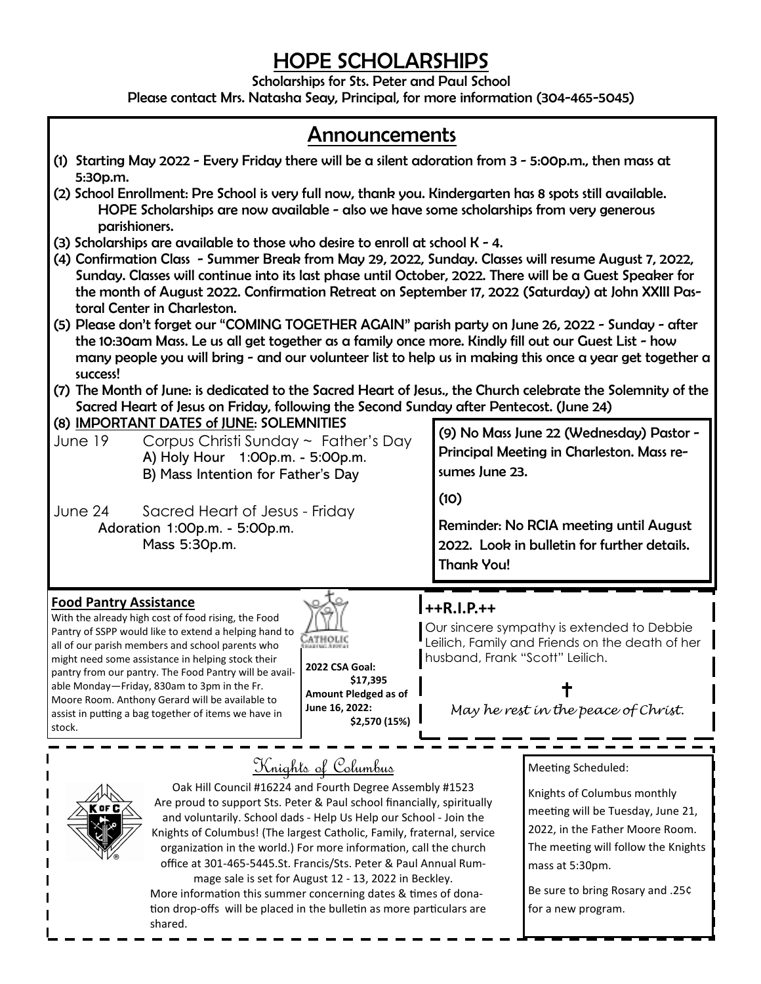# *HOPE SCHOLARSHIPS*

*Scholarships for Sts. Peter and Paul School* 

*Please contact Mrs. Natasha Seay, Principal, for more information (304-465-5045)* 

- *(1) Starting May 2022 Every Friday there will be a silent adoration from 3 5:00p.m., then mass at 5:30p.m. (2) School Enrollment: Pre School is very full now, thank you. Kindergarten has 8 spots still available. HOPE Scholarships are now available - also we have some scholarships from very generous parishioners.*
- *(3) Scholarships are available to those who desire to enroll at school K 4.*
- *(4) Confirmation Class Summer Break from May 29, 2022, Sunday. Classes will resume August 7, 2022, Sunday. Classes will continue into its last phase until October, 2022. There will be a Guest Speaker for the month of August 2022. Confirmation Retreat on September 17, 2022 (Saturday) at John XXIII Pastoral Center in Charleston.*
- *(5) Please don't forget our "COMING TOGETHER AGAIN" parish party on June 26, 2022 Sunday after the 10:30am Mass. Le us all get together as a family once more. Kindly fill out our Guest List - how many people you will bring - and our volunteer list to help us in making this once a year get together a success!*
- *(7) The Month of June: is dedicated to the Sacred Heart of Jesus., the Church celebrate the Solemnity of the Sacred Heart of Jesus on Friday, following the Second Sunday after Pentecost. (June 24)*

## *(8) IMPORTANT DATES of JUNE: SOLEMNITIES*

- June 19 Corpus Christi Sunday ~ Father's Day A) Holy Hour 1:00p.m. - 5:00p.m. B) Mass Intention for Father's Day
- June 24 Sacred Heart of Jesus Friday Adoration 1:00p.m. - 5:00p.m. Mass 5:30p.m.

*(9) No Mass June 22 (Wednesday) Pastor - Principal Meeting in Charleston. Mass resumes June 23.* 

*(10)* 

*Reminder: No RCIA meeting until August 2022. Look in bulletin for further details. Thank You!* 

## **Food Pantry Assistance**

With the already high cost of food rising, the Food Pantry of SSPP would like to extend a helping hand to all of our parish members and school parents who might need some assistance in helping stock their pantry from our pantry. The Food Pantry will be available Monday—Friday, 830am to 3pm in the Fr. Moore Room. Anthony Gerard will be available to assist in putting a bag together of items we have in stock.



**2022 CSA Goal: \$17,395 Amount Pledged as of June 16, 2022: \$2,570 (15%)** 

## **++R.I.P.++**

Our sincere sympathy is extended to Debbie Leilich, Family and Friends on the death of her husband, Frank "Scott" Leilich.

 $\ddagger$ 

May he rest in the peace of Christ.



# Knights of Columbus

Oak Hill Council #16224 and Fourth Degree Assembly #1523 Are proud to support Sts. Peter & Paul school financially, spiritually and voluntarily. School dads - Help Us Help our School - Join the Knights of Columbus! (The largest Catholic, Family, fraternal, service organization in the world.) For more information, call the church office at 301-465-5445.St. Francis/Sts. Peter & Paul Annual Rum-

mage sale is set for August 12 - 13, 2022 in Beckley. More information this summer concerning dates & times of donation drop-offs will be placed in the bulletin as more particulars are shared.

Meeting Scheduled:

Knights of Columbus monthly meeting will be Tuesday, June 21, 2022, in the Father Moore Room. The meeting will follow the Knights mass at 5:30pm.

Be sure to bring Rosary and .25¢ for a new program.